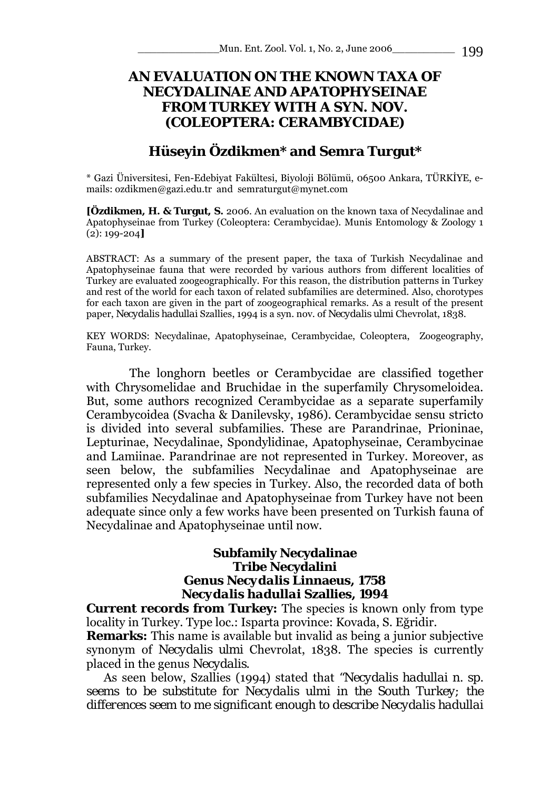# **AN EVALUATION ON THE KNOWN TAXA OF NECYDALINAE AND APATOPHYSEINAE FROM TURKEY WITH A SYN. NOV. (COLEOPTERA: CERAMBYCIDAE)**

# **Hüseyin Özdikmen\* and Semra Turgut\***

\* Gazi Üniversitesi, Fen-Edebiyat Fakültesi, Biyoloji Bölümü, 06500 Ankara, TÜRKİYE, emails: ozdikmen@gazi.edu.tr and semraturgut@mynet.com

**[Özdikmen, H. & Turgut, S.** 2006. An evaluation on the known taxa of Necydalinae and Apatophyseinae from Turkey (Coleoptera: Cerambycidae). Munis Entomology & Zoology 1 (2): 199-204**]**

ABSTRACT: As a summary of the present paper, the taxa of Turkish Necydalinae and Apatophyseinae fauna that were recorded by various authors from different localities of Turkey are evaluated zoogeographically. For this reason, the distribution patterns in Turkey and rest of the world for each taxon of related subfamilies are determined. Also, chorotypes for each taxon are given in the part of zoogeographical remarks. As a result of the present paper, *Necydalis hadullai* Szallies, 1994 is a syn. nov. of *Necydalis ulmi* Chevrolat, 1838.

KEY WORDS: Necydalinae, Apatophyseinae, Cerambycidae, Coleoptera, Zoogeography, Fauna, Turkey.

 The longhorn beetles or Cerambycidae are classified together with Chrysomelidae and Bruchidae in the superfamily Chrysomeloidea. But, some authors recognized Cerambycidae as a separate superfamily Cerambycoidea (Svacha & Danilevsky, 1986). Cerambycidae sensu stricto is divided into several subfamilies. These are Parandrinae, Prioninae, Lepturinae, Necydalinae, Spondylidinae, Apatophyseinae, Cerambycinae and Lamiinae. Parandrinae are not represented in Turkey. Moreover, as seen below, the subfamilies Necydalinae and Apatophyseinae are represented only a few species in Turkey. Also, the recorded data of both subfamilies Necydalinae and Apatophyseinae from Turkey have not been adequate since only a few works have been presented on Turkish fauna of Necydalinae and Apatophyseinae until now.

#### **Subfamily Necydalinae Tribe Necydalini Genus** *Necydalis* **Linnaeus, 1758**  *Necydalis hadullai* **Szallies, 1994**

**Current records from Turkey:** The species is known only from type locality in Turkey. Type loc.: Isparta province: Kovada, S. Eğridir.

**Remarks:** This name is available but invalid as being a junior subjective synonym of *Necydalis ulmi* Chevrolat, 1838. The species is currently placed in the genus *Necydalis*.

As seen below, Szallies (1994) stated that *"Necydalis hadullai n. sp. seems to be substitute for Necydalis ulmi in the South Turkey; the differences seem to me significant enough to describe Necydalis hadullai*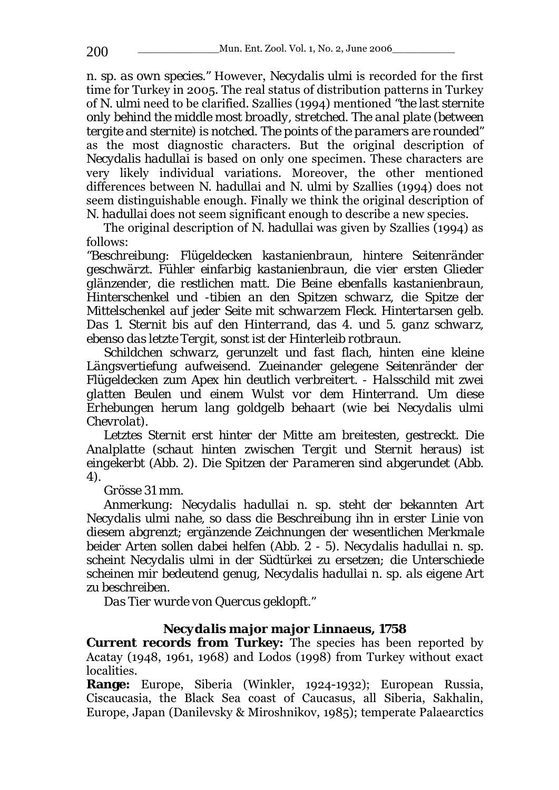*n. sp. as own species."* However, *Necydalis ulmi* is recorded for the first time for Turkey in 2005. The real status of distribution patterns in Turkey of *N. ulmi* need to be clarified. Szallies (1994) mentioned *"the last sternite only behind the middle most broadly, stretched. The anal plate (between tergite and sternite) is notched. The points of the paramers are rounded"* as the most diagnostic characters. But the original description of *Necydalis hadullai* is based on only one specimen. These characters are very likely individual variations. Moreover, the other mentioned differences between *N. hadullai* and *N. ulmi* by Szallies (1994) does not seem distinguishable enough. Finally we think the original description of *N. hadullai* does not seem significant enough to describe a new species.

The original description of *N. hadullai* was given by Szallies (1994) as follows:

*"Beschreibung: Flügeldecken kastanienbraun, hintere Seitenränder geschwärzt. Fühler einfarbig kastanienbraun, die vier ersten Glieder glänzender, die restlichen matt. Die Beine ebenfalls kastanienbraun, Hinterschenkel und -tibien an den Spitzen schwarz, die Spitze der Mittelschenkel auf jeder Seite mit schwarzem Fleck. Hintertarsen gelb. Das 1. Sternit bis auf den Hinterrand, das 4. und 5. ganz schwarz, ebenso das letzte Tergit, sonst ist der Hinterleib rotbraun.* 

*Schildchen schwarz, gerunzelt und fast flach, hinten eine kleine Längsvertiefung aufweisend. Zueinander gelegene Seitenränder der Flügeldecken zum Apex hin deutlich verbreitert. - Halsschild mit zwei glatten Beulen und einem Wulst vor dem Hinterrand. Um diese Erhebungen herum lang goldgelb behaart (wie bei Necydalis ulmi Chevrolat).* 

*Letztes Sternit erst hinter der Mitte am breitesten, gestreckt. Die Analplatte (schaut hinten zwischen Tergit und Sternit heraus) ist eingekerbt (Abb. 2). Die Spitzen der Parameren sind abgerundet (Abb. 4).* 

*Grösse 31 mm.* 

*Anmerkung: Necydalis hadullai n. sp. steht der bekannten Art Necydalis ulmi nahe, so dass die Beschreibung ihn in erster Linie von diesem abgrenzt; ergänzende Zeichnungen der wesentlichen Merkmale beider Arten sollen dabei helfen (Abb. 2 - 5). Necydalis hadullai n. sp. scheint Necydalis ulmi in der Südtürkei zu ersetzen; die Unterschiede scheinen mir bedeutend genug, Necydalis hadullai n. sp. als eigene Art zu beschreiben.* 

*Das Tier wurde von Quercus geklopft."* 

### *Necydalis major major* **Linnaeus, 1758**

**Current records from Turkey:** The species has been reported by Acatay (1948, 1961, 1968) and Lodos (1998) from Turkey without exact localities.

**Range:** Europe, Siberia (Winkler, 1924-1932); European Russia, Ciscaucasia, the Black Sea coast of Caucasus, all Siberia, Sakhalin, Europe, Japan (Danilevsky & Miroshnikov, 1985); temperate Palaearctics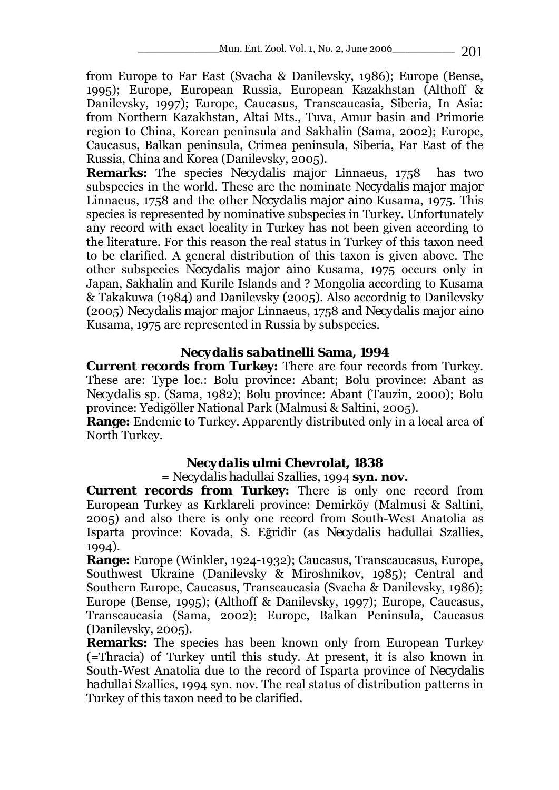from Europe to Far East (Svacha & Danilevsky, 1986); Europe (Bense, 1995); Europe, European Russia, European Kazakhstan (Althoff & Danilevsky, 1997); Europe, Caucasus, Transcaucasia, Siberia, In Asia: from Northern Kazakhstan, Altai Mts., Tuva, Amur basin and Primorie region to China, Korean peninsula and Sakhalin (Sama, 2002); Europe, Caucasus, Balkan peninsula, Crimea peninsula, Siberia, Far East of the Russia, China and Korea (Danilevsky, 2005).

**Remarks:** The species *Necydalis major* Linnaeus, 1758 has two subspecies in the world. These are the nominate *Necydalis major major*  Linnaeus, 1758 and the other *Necydalis major aino* Kusama, 1975. This species is represented by nominative subspecies in Turkey. Unfortunately any record with exact locality in Turkey has not been given according to the literature. For this reason the real status in Turkey of this taxon need to be clarified. A general distribution of this taxon is given above. The other subspecies *Necydalis major aino* Kusama, 1975 occurs only in Japan, Sakhalin and Kurile Islands and ? Mongolia according to Kusama & Takakuwa (1984) and Danilevsky (2005). Also accordnig to Danilevsky (2005) *Necydalis major major* Linnaeus, 1758 and *Necydalis major aino* Kusama, 1975 are represented in Russia by subspecies.

# *Necydalis sabatinelli* **Sama, 1994**

**Current records from Turkey:** There are four records from Turkey. These are: Type loc.: Bolu province: Abant; Bolu province: Abant as *Necydalis* sp. (Sama, 1982); Bolu province: Abant (Tauzin, 2000); Bolu province: Yedigöller National Park (Malmusi & Saltini, 2005).

**Range:** Endemic to Turkey. Apparently distributed only in a local area of North Turkey.

# *Necydalis ulmi* **Chevrolat, 1838**

### = *Necydalis hadullai* Szallies, 1994 **syn. nov.**

**Current records from Turkey:** There is only one record from European Turkey as Kırklareli province: Demirköy (Malmusi & Saltini, 2005) and also there is only one record from South-West Anatolia as Isparta province: Kovada, S. Eğridir (as *Necydalis hadullai* Szallies, 1994).

**Range:** Europe (Winkler, 1924-1932); Caucasus, Transcaucasus, Europe, Southwest Ukraine (Danilevsky & Miroshnikov, 1985); Central and Southern Europe, Caucasus, Transcaucasia (Svacha & Danilevsky, 1986); Europe (Bense, 1995); (Althoff & Danilevsky, 1997); Europe, Caucasus, Transcaucasia (Sama, 2002); Europe, Balkan Peninsula, Caucasus (Danilevsky, 2005).

**Remarks:** The species has been known only from European Turkey (=Thracia) of Turkey until this study. At present, it is also known in South-West Anatolia due to the record of Isparta province of *Necydalis hadullai* Szallies, 1994 syn. nov. The real status of distribution patterns in Turkey of this taxon need to be clarified.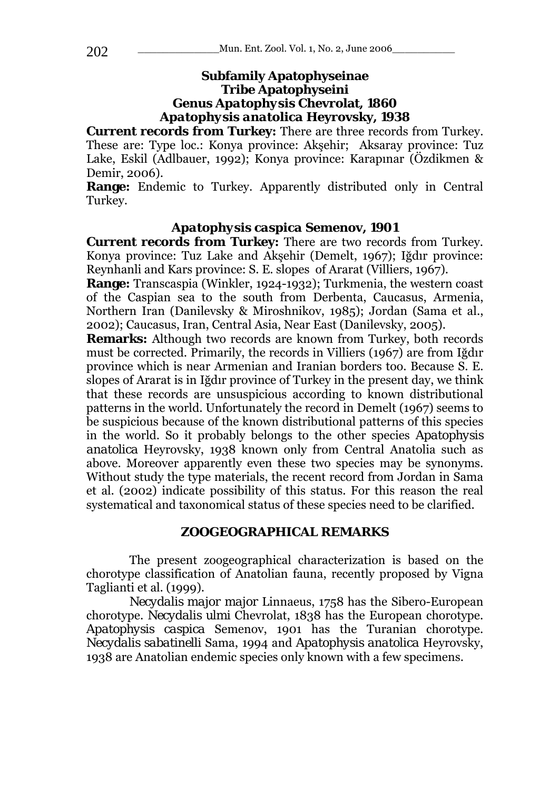### **Subfamily Apatophyseinae Tribe Apatophyseini Genus** *Apatophysis* **Chevrolat, 1860**  *Apatophysis anatolica* **Heyrovsky, 1938**

**Current records from Turkey:** There are three records from Turkey. These are: Type loc.: Konya province: Akşehir; Aksaray province: Tuz Lake, Eskil (Adlbauer, 1992); Konya province: Karapınar (Özdikmen & Demir, 2006).

**Range:** Endemic to Turkey. Apparently distributed only in Central Turkey.

### *Apatophysis caspica* **Semenov, 1901**

**Current records from Turkey:** There are two records from Turkey. Konya province: Tuz Lake and Akşehir (Demelt, 1967); Iğdır province: Reynhanli and Kars province: S. E. slopes of Ararat (Villiers, 1967).

**Range:** Transcaspia (Winkler, 1924-1932); Turkmenia, the western coast of the Caspian sea to the south from Derbenta, Caucasus, Armenia, Northern Iran (Danilevsky & Miroshnikov, 1985); Jordan (Sama et al., 2002); Caucasus, Iran, Central Asia, Near East (Danilevsky, 2005).

**Remarks:** Although two records are known from Turkey, both records must be corrected. Primarily, the records in Villiers (1967) are from Iğdır province which is near Armenian and Iranian borders too. Because S. E. slopes of Ararat is in Iğdır province of Turkey in the present day, we think that these records are unsuspicious according to known distributional patterns in the world. Unfortunately the record in Demelt (1967) seems to be suspicious because of the known distributional patterns of this species in the world. So it probably belongs to the other species *Apatophysis anatolica* Heyrovsky, 1938 known only from Central Anatolia such as above. Moreover apparently even these two species may be synonyms. Without study the type materials, the recent record from Jordan in Sama et al. (2002) indicate possibility of this status. For this reason the real systematical and taxonomical status of these species need to be clarified.

#### **ZOOGEOGRAPHICAL REMARKS**

 The present zoogeographical characterization is based on the chorotype classification of Anatolian fauna, recently proposed by Vigna Taglianti et al. (1999).

*Necydalis major major* Linnaeus, 1758 has the Sibero-European chorotype. *Necydalis ulmi* Chevrolat, 1838 has the European chorotype. *Apatophysis caspica* Semenov, 1901 has the Turanian chorotype. *Necydalis sabatinelli* Sama, 1994 and *Apatophysis anatolica* Heyrovsky, 1938 are Anatolian endemic species only known with a few specimens.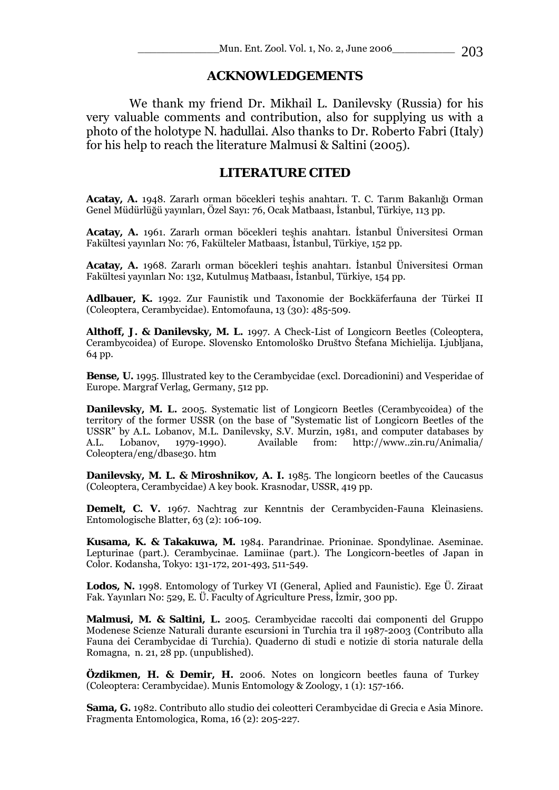#### **ACKNOWLEDGEMENTS**

 We thank my friend Dr. Mikhail L. Danilevsky (Russia) for his very valuable comments and contribution, also for supplying us with a photo of the holotype *N. hadullai*. Also thanks to Dr. Roberto Fabri (Italy) for his help to reach the literature Malmusi & Saltini (2005).

### **LITERATURE CITED**

**Acatay, A.** 1948. Zararlı orman böcekleri teşhis anahtarı. T. C. Tarım Bakanlığı Orman Genel Müdürlüğü yayınları, Özel Sayı: 76, Ocak Matbaası, İstanbul, Türkiye, 113 pp.

**Acatay, A.** 1961. Zararlı orman böcekleri teşhis anahtarı. İstanbul Üniversitesi Orman Fakültesi yayınları No: 76, Fakülteler Matbaası, İstanbul, Türkiye, 152 pp.

**Acatay, A.** 1968. Zararlı orman böcekleri teşhis anahtarı. İstanbul Üniversitesi Orman Fakültesi yayınları No: 132, Kutulmuş Matbaası, İstanbul, Türkiye, 154 pp.

**Adlbauer, K.** 1992. Zur Faunistik und Taxonomie der Bockkäferfauna der Türkei II (Coleoptera, Cerambycidae). Entomofauna, 13 (30): 485-509.

**Althoff, J. & Danilevsky, M. L.** 1997. A Check-List of Longicorn Beetles (Coleoptera, Cerambycoidea) of Europe. Slovensko Entomološko Društvo Štefana Michielija. Ljubljana, 64 pp.

**Bense, U.** 1995. Illustrated key to the Cerambycidae (excl. Dorcadionini) and Vesperidae of Europe. Margraf Verlag, Germany, 512 pp.

**Danilevsky, M. L.** 2005. Systematic list of Longicorn Beetles (Cerambycoidea) of the territory of the former USSR (on the base of "Systematic list of Longicorn Beetles of the USSR" by A.L. Lobanov, M.L. Danilevsky, S.V. Murzin, 1981, and computer databases by A.L. Lobanov, 1979-1990). Available from: http://www..zin.ru/Animalia/ Coleoptera/eng/dbase30. htm

**Danilevsky, M. L. & Miroshnikov, A. I.** 1985. The longicorn beetles of the Caucasus (Coleoptera, Cerambycidae) A key book. Krasnodar, USSR, 419 pp.

**Demelt, C. V.** 1967. Nachtrag zur Kenntnis der Cerambyciden-Fauna Kleinasiens. Entomologische Blatter, 63 (2): 106-109.

**Kusama, K. & Takakuwa, M.** 1984. Parandrinae. Prioninae. Spondylinae. Aseminae. Lepturinae (part.). Cerambycinae. Lamiinae (part.). The Longicorn-beetles of Japan in Color. Kodansha, Tokyo: 131-172, 201-493, 511-549.

**Lodos, N.** 1998. Entomology of Turkey VI (General, Aplied and Faunistic). Ege Ü. Ziraat Fak. Yayınları No: 529, E. Ü. Faculty of Agriculture Press, İzmir, 300 pp.

**Malmusi, M. & Saltini, L.** 2005. Cerambycidae raccolti dai componenti del Gruppo Modenese Scienze Naturali durante escursioni in Turchia tra il 1987-2003 (Contributo alla Fauna dei Cerambycidae di Turchia). Quaderno di studi e notizie di storia naturale della Romagna, n. 21, 28 pp. (unpublished).

**Özdikmen, H. & Demir, H.** 2006. Notes on longicorn beetles fauna of Turkey (Coleoptera: Cerambycidae). Munis Entomology & Zoology, 1 (1): 157-166.

**Sama, G.** 1982. Contributo allo studio dei coleotteri Cerambycidae di Grecia e Asia Minore. Fragmenta Entomologica, Roma, 16 (2): 205-227.